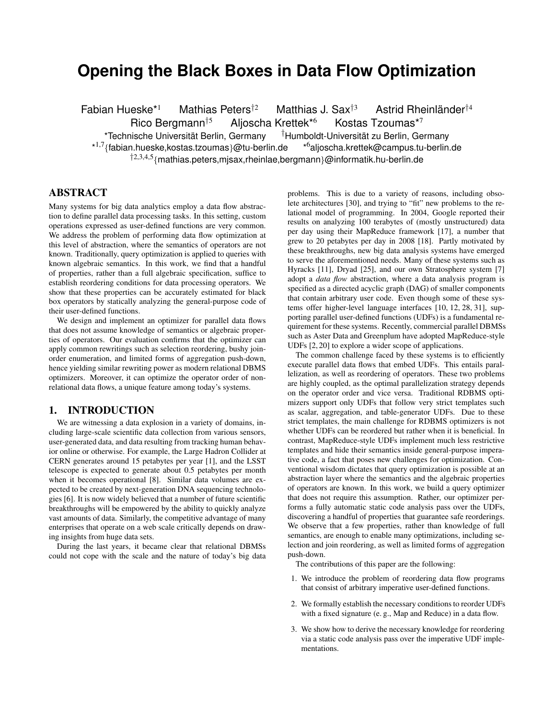# **Opening the Black Boxes in Data Flow Optimization**

Fabian Hueske<sup>\*1</sup> Mathias Peters<sup>†2</sup> Matthias J. Sax<sup>†3</sup> Astrid Rheinländer<sup>†4</sup> Rico Bergmann<sup>†5</sup> Aljoscha Krettek<sup>\*6</sup> Kostas Tzoumas<sup>\*7</sup> \*Technische Universitat Berlin, Germany ¨ †Humboldt-Universitat zu Berlin, Germany ¨ \* 1,7{fabian.hueske,kostas.tzoumas}@tu-berlin.de \*6aljoscha.krettek@campus.tu-berlin.de †2,3,4,5{mathias.peters,mjsax,rheinlae,bergmann}@informatik.hu-berlin.de

# ABSTRACT

Many systems for big data analytics employ a data flow abstraction to define parallel data processing tasks. In this setting, custom operations expressed as user-defined functions are very common. We address the problem of performing data flow optimization at this level of abstraction, where the semantics of operators are not known. Traditionally, query optimization is applied to queries with known algebraic semantics. In this work, we find that a handful of properties, rather than a full algebraic specification, suffice to establish reordering conditions for data processing operators. We show that these properties can be accurately estimated for black box operators by statically analyzing the general-purpose code of their user-defined functions.

We design and implement an optimizer for parallel data flows that does not assume knowledge of semantics or algebraic properties of operators. Our evaluation confirms that the optimizer can apply common rewritings such as selection reordering, bushy joinorder enumeration, and limited forms of aggregation push-down, hence yielding similar rewriting power as modern relational DBMS optimizers. Moreover, it can optimize the operator order of nonrelational data flows, a unique feature among today's systems.

# 1. INTRODUCTION

We are witnessing a data explosion in a variety of domains, including large-scale scientific data collection from various sensors, user-generated data, and data resulting from tracking human behavior online or otherwise. For example, the Large Hadron Collider at CERN generates around 15 petabytes per year [1], and the LSST telescope is expected to generate about 0.5 petabytes per month when it becomes operational [8]. Similar data volumes are expected to be created by next-generation DNA sequencing technologies [6]. It is now widely believed that a number of future scientific breakthroughs will be empowered by the ability to quickly analyze vast amounts of data. Similarly, the competitive advantage of many enterprises that operate on a web scale critically depends on drawing insights from huge data sets.

During the last years, it became clear that relational DBMSs could not cope with the scale and the nature of today's big data

problems. This is due to a variety of reasons, including obsolete architectures [30], and trying to "fit" new problems to the relational model of programming. In 2004, Google reported their results on analyzing 100 terabytes of (mostly unstructured) data per day using their MapReduce framework [17], a number that grew to 20 petabytes per day in 2008 [18]. Partly motivated by these breakthroughs, new big data analysis systems have emerged to serve the aforementioned needs. Many of these systems such as Hyracks [11], Dryad [25], and our own Stratosphere system [7] adopt a *data flow* abstraction, where a data analysis program is specified as a directed acyclic graph (DAG) of smaller components that contain arbitrary user code. Even though some of these systems offer higher-level language interfaces [10, 12, 28, 31], supporting parallel user-defined functions (UDFs) is a fundamental requirement for these systems. Recently, commercial parallel DBMSs such as Aster Data and Greenplum have adopted MapReduce-style UDFs [2, 20] to explore a wider scope of applications.

The common challenge faced by these systems is to efficiently execute parallel data flows that embed UDFs. This entails parallelization, as well as reordering of operators. These two problems are highly coupled, as the optimal parallelization strategy depends on the operator order and vice versa. Traditional RDBMS optimizers support only UDFs that follow very strict templates such as scalar, aggregation, and table-generator UDFs. Due to these strict templates, the main challenge for RDBMS optimizers is not whether UDFs can be reordered but rather when it is beneficial. In contrast, MapReduce-style UDFs implement much less restrictive templates and hide their semantics inside general-purpose imperative code, a fact that poses new challenges for optimization. Conventional wisdom dictates that query optimization is possible at an abstraction layer where the semantics and the algebraic properties of operators are known. In this work, we build a query optimizer that does not require this assumption. Rather, our optimizer performs a fully automatic static code analysis pass over the UDFs, discovering a handful of properties that guarantee safe reorderings. We observe that a few properties, rather than knowledge of full semantics, are enough to enable many optimizations, including selection and join reordering, as well as limited forms of aggregation push-down.

The contributions of this paper are the following:

- 1. We introduce the problem of reordering data flow programs that consist of arbitrary imperative user-defined functions.
- 2. We formally establish the necessary conditions to reorder UDFs with a fixed signature (e. g., Map and Reduce) in a data flow.
- 3. We show how to derive the necessary knowledge for reordering via a static code analysis pass over the imperative UDF implementations.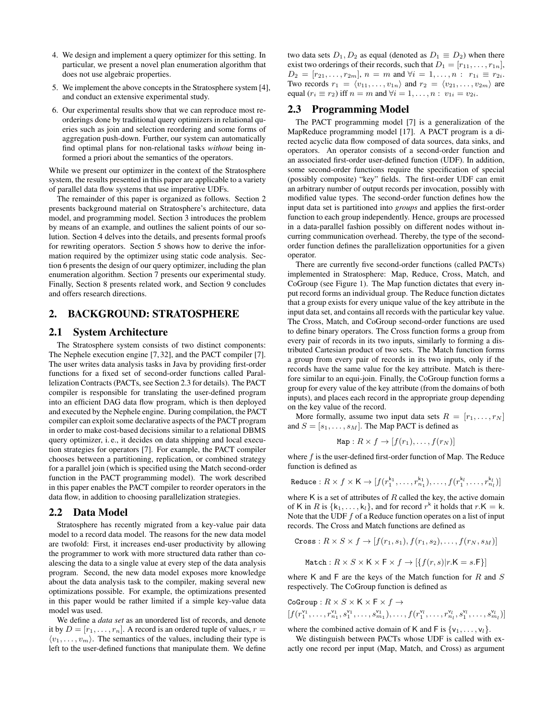- 4. We design and implement a query optimizer for this setting. In particular, we present a novel plan enumeration algorithm that does not use algebraic properties.
- 5. We implement the above concepts in the Stratosphere system [4], and conduct an extensive experimental study.
- 6. Our experimental results show that we can reproduce most reorderings done by traditional query optimizers in relational queries such as join and selection reordering and some forms of aggregation push-down. Further, our system can automatically find optimal plans for non-relational tasks *without* being informed a priori about the semantics of the operators.

While we present our optimizer in the context of the Stratosphere system, the results presented in this paper are applicable to a variety of parallel data flow systems that use imperative UDFs.

The remainder of this paper is organized as follows. Section 2 presents background material on Stratosphere's architecture, data model, and programming model. Section 3 introduces the problem by means of an example, and outlines the salient points of our solution. Section 4 delves into the details, and presents formal proofs for rewriting operators. Section 5 shows how to derive the information required by the optimizer using static code analysis. Section 6 presents the design of our query optimizer, including the plan enumeration algorithm. Section 7 presents our experimental study. Finally, Section 8 presents related work, and Section 9 concludes and offers research directions.

# 2. BACKGROUND: STRATOSPHERE

### 2.1 System Architecture

The Stratosphere system consists of two distinct components: The Nephele execution engine [7, 32], and the PACT compiler [7]. The user writes data analysis tasks in Java by providing first-order functions for a fixed set of second-order functions called Parallelization Contracts (PACTs, see Section 2.3 for details). The PACT compiler is responsible for translating the user-defined program into an efficient DAG data flow program, which is then deployed and executed by the Nephele engine. During compilation, the PACT compiler can exploit some declarative aspects of the PACT program in order to make cost-based decisions similar to a relational DBMS query optimizer, i. e., it decides on data shipping and local execution strategies for operators [7]. For example, the PACT compiler chooses between a partitioning, replication, or combined strategy for a parallel join (which is specified using the Match second-order function in the PACT programming model). The work described in this paper enables the PACT compiler to reorder operators in the data flow, in addition to choosing parallelization strategies.

#### 2.2 Data Model

Stratosphere has recently migrated from a key-value pair data model to a record data model. The reasons for the new data model are twofold: First, it increases end-user productivity by allowing the programmer to work with more structured data rather than coalescing the data to a single value at every step of the data analysis program. Second, the new data model exposes more knowledge about the data analysis task to the compiler, making several new optimizations possible. For example, the optimizations presented in this paper would be rather limited if a simple key-value data model was used.

We define a *data set* as an unordered list of records, and denote it by  $D = [r_1, \ldots, r_n]$ . A record is an ordered tuple of values,  $r =$  $\langle v_1, \ldots, v_m \rangle$ . The semantics of the values, including their type is left to the user-defined functions that manipulate them. We define two data sets  $D_1, D_2$  as equal (denoted as  $D_1 \equiv D_2$ ) when there exist two orderings of their records, such that  $D_1 = [r_{11}, \ldots, r_{1n}],$  $D_2 = [r_{21}, \ldots, r_{2m}], n = m$  and  $\forall i = 1, \ldots, n : r_{1i} \equiv r_{2i}.$ Two records  $r_1 = \langle v_{11}, \ldots, v_{1n} \rangle$  and  $r_2 = \langle v_{21}, \ldots, v_{2m} \rangle$  are equal  $(r_i \equiv r_2)$  iff  $n = m$  and  $\forall i = 1, \ldots, n : v_{1i} = v_{2i}$ .

#### 2.3 Programming Model

The PACT programming model [7] is a generalization of the MapReduce programming model [17]. A PACT program is a directed acyclic data flow composed of data sources, data sinks, and operators. An operator consists of a second-order function and an associated first-order user-defined function (UDF). In addition, some second-order functions require the specification of special (possibly composite) "key" fields. The first-order UDF can emit an arbitrary number of output records per invocation, possibly with modified value types. The second-order function defines how the input data set is partitioned into *groups* and applies the first-order function to each group independently. Hence, groups are processed in a data-parallel fashion possibly on different nodes without incurring communication overhead. Thereby, the type of the secondorder function defines the parallelization opportunities for a given operator.

There are currently five second-order functions (called PACTs) implemented in Stratosphere: Map, Reduce, Cross, Match, and CoGroup (see Figure 1). The Map function dictates that every input record forms an individual group. The Reduce function dictates that a group exists for every unique value of the key attribute in the input data set, and contains all records with the particular key value. The Cross, Match, and CoGroup second-order functions are used to define binary operators. The Cross function forms a group from every pair of records in its two inputs, similarly to forming a distributed Cartesian product of two sets. The Match function forms a group from every pair of records in its two inputs, only if the records have the same value for the key attribute. Match is therefore similar to an equi-join. Finally, the CoGroup function forms a group for every value of the key attribute (from the domains of both inputs), and places each record in the appropriate group depending on the key value of the record.

More formally, assume two input data sets  $R = [r_1, \ldots, r_N]$ and  $S = [s_1, \ldots, s_M]$ . The Map PACT is defined as

$$
\text{Map}: R \times f \to [f(r_1), \dots, f(r_N)]
$$

where  $f$  is the user-defined first-order function of Map. The Reduce function is defined as

Reduce : 
$$
R \times f \times K \rightarrow [f(r_1^{k_1}, \ldots, r_{n_1}^{k_1}), \ldots, f(r_1^{k_l}, \ldots, r_{n_l}^{k_l})]
$$

where K is a set of attributes of  $R$  called the key, the active domain of K in R is  $\{k_1, \ldots, k_l\}$ , and for record  $r^k$  it holds that  $r.K = k$ . Note that the UDF  $f$  of a Reduce function operates on a list of input records. The Cross and Match functions are defined as

Cross: 
$$
R \times S \times f \rightarrow [f(r_1, s_1), f(r_1, s_2), \dots, f(r_N, s_M)]
$$

$$
\text{Match}: R \times S \times \mathsf{K} \times \mathsf{F} \times f \rightarrow [\{f(r, s) | r. \mathsf{K} = s. \mathsf{F}\}]
$$

where K and F are the keys of the Match function for  $R$  and  $S$ respectively. The CoGroup function is defined as

$$
\begin{aligned}\n\text{CoGroup}: R \times S \times \mathsf{K} \times \mathsf{F} \times f &\rightarrow \\
[f(r_1^{\mathsf{v}_1}, \dots, r_{n_1}^{\mathsf{v}_1}, s_1^{\mathsf{v}_1}, \dots, s_{m_1}^{\mathsf{v}_1}), \dots, f(r_1^{\mathsf{v}_l}, \dots, r_{n_l}^{\mathsf{v}_l}, s_1^{\mathsf{v}_l}, \dots, s_{m_l}^{\mathsf{v}_l})]\n\end{aligned}
$$

where the combined active domain of K and F is  $\{v_1, \ldots, v_l\}$ .

We distinguish between PACTs whose UDF is called with exactly one record per input (Map, Match, and Cross) as argument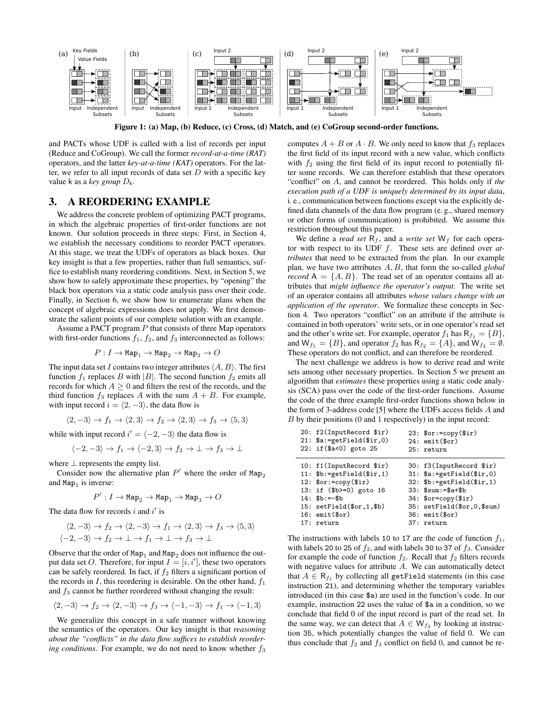

Figure 1: (a) Map, (b) Reduce, (c) Cross, (d) Match, and (e) CoGroup second-order functions.

and PACTs whose UDF is called with a list of records per input (Reduce and CoGroup). We call the former *record-at-a-time (RAT)* operators, and the latter *key-at-a-time (KAT)* operators. For the latter, we refer to all input records of data set  $D$  with a specific key value k as a *key group* Dk.

### 3. A REORDERING EXAMPLE

We address the concrete problem of optimizing PACT programs, in which the algebraic properties of first-order functions are not known. Our solution proceeds in three steps: First, in Section 4, we establish the necessary conditions to reorder PACT operators. At this stage, we treat the UDFs of operators as black boxes. Our key insight is that a few properties, rather than full semantics, suffice to establish many reordering conditions. Next, in Section 5, we show how to safely approximate these properties, by "opening" the black box operators via a static code analysis pass over their code. Finally, in Section 6, we show how to enumerate plans when the concept of algebraic expressions does not apply. We first demonstrate the salient points of our complete solution with an example.

Assume a PACT program  $P$  that consists of three Map operators with first-order functions  $f_1$ ,  $f_2$ , and  $f_3$  interconnected as follows:

$$
P:I\to \mathtt{Map_1}\to \mathtt{Map_2}\to \mathtt{Map_3}\to O
$$

The input data set I contains two integer attributes  $\langle A, B \rangle$ . The first function  $f_1$  replaces B with |B|. The second function  $f_2$  emits all records for which  $A > 0$  and filters the rest of the records, and the third function  $f_3$  replaces A with the sum  $A + B$ . For example, with input record  $i = \langle 2, -3 \rangle$ , the data flow is

$$
\langle 2, -3 \rangle \to f_1 \to \langle 2, 3 \rangle \to f_2 \to \langle 2, 3 \rangle \to f_3 \to \langle 5, 3 \rangle
$$

while with input record  $i' = \langle -2, -3 \rangle$  the data flow is

$$
\langle -2, -3 \rangle \to f_1 \to \langle -2, 3 \rangle \to f_2 \to \bot \to f_3 \to \bot
$$

where  $\perp$  represents the empty list.

Consider now the alternative plan  $P'$  where the order of  $\text{Map}_2$ and  $Map_1$  is inverse:

$$
P':I\to \mathtt{Map_2}\to \mathtt{Map_1}\to \mathtt{Map_3}\to O
$$

The data flow for records  $i$  and  $i'$  is

$$
\langle 2, -3 \rangle \to f_2 \to \langle 2, -3 \rangle \to f_1 \to \langle 2, 3 \rangle \to f_3 \to \langle 5, 3 \rangle
$$
  

$$
\langle -2, -3 \rangle \to f_2 \to \bot \to f_1 \to \bot \to f_3 \to \bot
$$

Observe that the order of  $\texttt{Map}_1$  and  $\texttt{Map}_2$  does not influence the output data set O. Therefore, for input  $I = [i, i']$ , these two operators can be safely reordered. In fact, if  $f_2$  filters a significant portion of the records in  $I$ , this reordering is desirable. On the other hand,  $f_1$ and  $f_3$  cannot be further reordered without changing the result:

$$
\langle 2, -3 \rangle \to f_2 \to \langle 2, -3 \rangle \to f_3 \to \langle -1, -3 \rangle \to f_1 \to \langle -1, 3 \rangle
$$

We generalize this concept in a safe manner without knowing the semantics of the operators. Our key insight is that *reasoning about the "conflicts" in the data flow suffices to establish reordering conditions*. For example, we do not need to know whether  $f_3$ 

computes  $A + B$  or  $A \cdot B$ . We only need to know that  $f_3$  replaces the first field of its input record with a new value, which conflicts with  $f_2$  using the first field of its input record to potentially filter some records. We can therefore establish that these operators "conflict" on A, and cannot be reordered. This holds only if *the execution path of a UDF is uniquely determined by its input data*, i. e., communication between functions except via the explicitly defined data channels of the data flow program (e. g., shared memory or other forms of communication) is prohibited. We assume this restriction throughout this paper.

We define a *read set*  $R_f$ , and a *write set*  $W_f$  for each operator with respect to its UDF f. These sets are defined over *attributes* that need to be extracted from the plan. In our example plan, we have two attributes A, B, that form the so-called *global record*  $A = \{A, B\}$ . The read set of an operator contains all attributes that *might influence the operator's output*. The write set of an operator contains all attributes *whose values change with an application of the operator*. We formalize these concepts in Section 4. Two operators "conflict" on an attribute if the attribute is contained in both operators' write sets, or in one operator's read set and the other's write set. For example, operator  $f_1$  has  $R_{f_1} = \{B\}$ , and  $W_{f_1} = \{B\}$ , and operator  $f_2$  has  $R_{f_2} = \{A\}$ , and  $W_{f_2} = \emptyset$ . These operators do not conflict, and can therefore be reordered.

The next challenge we address is how to derive read and write sets among other necessary properties. In Section 5 we present an algorithm that *estimates* these properties using a static code analysis (SCA) pass over the code of the first-order functions. Assume the code of the three example first-order functions shown below in the form of 3-address code [5] where the UDFs access fields A and B by their positions (0 and 1 respectively) in the input record:

| 20: f2(InputRecord \$ir) | $23:$ $for:=$ copy $($ir)$  |
|--------------------------|-----------------------------|
| 21: $a:=getField($ir,0)$ | $24:$ emit $(\text{for})$   |
| 22: if (\$a<0) goto 25   | 25: return                  |
| 10: f1(InputRecord \$ir) | 30: f3(InputRecord \$ir)    |
| 11: $b:=getField($ir,1)$ | $31:$ \$a:=getField(\$ir,0) |
| 12: $for: = copy(\$ir)$  | $32:$ \$b:=getField(\$ir,1) |
| 13: if (\$b>=0) goto 16  | $33:$ \$sum:=\$a+\$b        |
| $14:$ \$b:=-\$b          | $34:$ \$or=copy $($ir)$     |
| 15: setField(\$or,1,\$b) | 35: setField(\$or,0,\$sum)  |
| $16:$ emit $(\$or)$      | $36:$ emit $(\$or)$         |
| 17: return               | 37: return                  |

The instructions with labels 10 to 17 are the code of function  $f_1$ , with labels 20 to 25 of  $f_2$ , and with labels 30 to 37 of  $f_3$ . Consider for example the code of function  $f_2$ . Recall that  $f_2$  filters records with negative values for attribute  $A$ . We can automatically detect that  $A \in \mathsf{R}_{f_1}$  by collecting all getField statements (in this case instruction 21), and determining whether the temporary variables introduced (in this case \$a) are used in the function's code. In our example, instruction 22 uses the value of \$a in a condition, so we conclude that field 0 of the input record is part of the read set. In the same way, we can detect that  $A \in W_{f_3}$  by looking at instruction 35, which potentially changes the value of field 0. We can thus conclude that  $f_2$  and  $f_3$  conflict on field 0, and cannot be re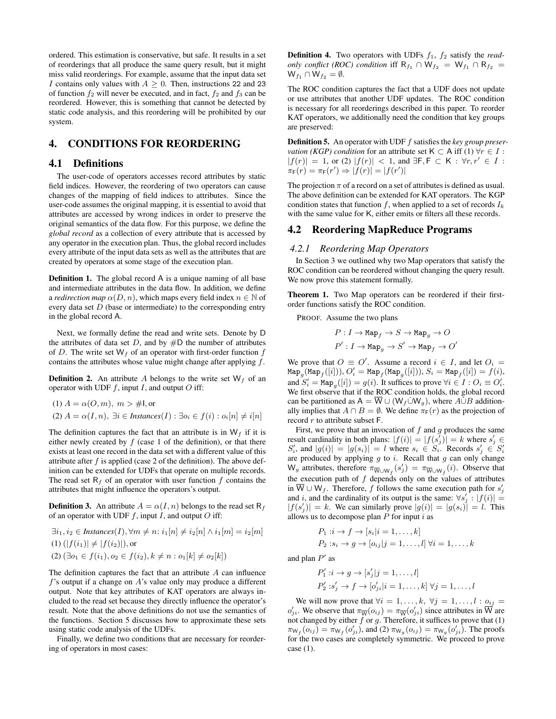ordered. This estimation is conservative, but safe. It results in a set of reorderings that all produce the same query result, but it might miss valid reorderings. For example, assume that the input data set I contains only values with  $A > 0$ . Then, instructions 22 and 23 of function  $f_2$  will never be executed, and in fact,  $f_2$  and  $f_3$  can be reordered. However, this is something that cannot be detected by static code analysis, and this reordering will be prohibited by our system.

# 4. CONDITIONS FOR REORDERING

# 4.1 Definitions

The user-code of operators accesses record attributes by static field indices. However, the reordering of two operators can cause changes of the mapping of field indices to attributes. Since the user-code assumes the original mapping, it is essential to avoid that attributes are accessed by wrong indices in order to preserve the original semantics of the data flow. For this purpose, we define the *global record* as a collection of every attribute that is accessed by any operator in the execution plan. Thus, the global record includes every attribute of the input data sets as well as the attributes that are created by operators at some stage of the execution plan.

Definition 1. The global record A is a unique naming of all base and intermediate attributes in the data flow. In addition, we define a *redirection map*  $\alpha(D, n)$ , which maps every field index  $n \in \mathbb{N}$  of every data set  $D$  (base or intermediate) to the corresponding entry in the global record A.

Next, we formally define the read and write sets. Denote by D the attributes of data set  $D$ , and by  $\#D$  the number of attributes of D. The write set  $W_f$  of an operator with first-order function f contains the attributes whose value might change after applying f.

**Definition 2.** An attribute A belongs to the write set  $W_f$  of an operator with UDF  $f$ , input  $I$ , and output  $O$  iff:

(1) 
$$
A = \alpha(O, m), m > #1
$$
, or  
(2)  $A = \alpha(I, n), \exists i \in \text{Instantces}(I) : \exists o_i \in f(i) : o_i[n] \neq i[n]$ 

The definition captures the fact that an attribute is in  $W_f$  if it is either newly created by  $f$  (case 1 of the definition), or that there exists at least one record in the data set with a different value of this attribute after  $f$  is applied (case 2 of the definition). The above definition can be extended for UDFs that operate on multiple records. The read set  $R_f$  of an operator with user function f contains the attributes that might influence the operators's output.

**Definition 3.** An attribute  $A = \alpha(I, n)$  belongs to the read set R<sub>f</sub> of an operator with UDF  $f$ , input  $I$ , and output  $O$  iff:

$$
\exists i_1, i_2 \in \text{Instantes}(I), \forall m \neq n: i_1[n] \neq i_2[n] \land i_1[m] = i_2[m]
$$
  
(1)  $(|f(i_1)| \neq |f(i_2)|)$ , or  
(2)  $(\exists o_1 \in f(i_1), o_2 \in f(i_2), k \neq n : o_1[k] \neq o_2[k])$ 

The definition captures the fact that an attribute  $A$  can influence f's output if a change on  $A$ 's value only may produce a different output. Note that key attributes of KAT operators are always included to the read set because they directly influence the operator's result. Note that the above definitions do not use the semantics of the functions. Section 5 discusses how to approximate these sets using static code analysis of the UDFs.

Finally, we define two conditions that are necessary for reordering of operators in most cases:

**Definition 4.** Two operators with UDFs  $f_1$ ,  $f_2$  satisfy the *readonly conflict (ROC) condition* iff  $R_{f_1} \cap W_{f_2} = W_{f_1} \cap R_{f_2}$  $W_{f_1} \cap W_{f_2} = \emptyset.$ 

The ROC condition captures the fact that a UDF does not update or use attributes that another UDF updates. The ROC condition is necessary for all reorderings described in this paper. To reorder KAT operators, we additionally need the condition that key groups are preserved:

Definition 5. An operator with UDF f satisfies the *key group preservation (KGP) condition* for an attribute set  $K \subset A$  iff (1)  $\forall r \in I$ :  $|f(r)| = 1$ , or (2)  $|f(r)| < 1$ , and  $\exists F, F \subset K : \forall r, r' \in I$ :  $\pi_{\mathsf{F}}(r) = \pi_{\mathsf{F}}(r') \Rightarrow |f(r)| = |f(r')|$ 

The projection  $\pi$  of a record on a set of attributes is defined as usual. The above definition can be extended for KAT operators. The KGP condition states that function  $f$ , when applied to a set of records  $I_k$ with the same value for K, either emits or filters all these records.

# 4.2 Reordering MapReduce Programs

#### *4.2.1 Reordering Map Operators*

In Section 3 we outlined why two Map operators that satisfy the ROC condition can be reordered without changing the query result. We now prove this statement formally.

Theorem 1. Two Map operators can be reordered if their firstorder functions satisfy the ROC condition.

PROOF. Assume the two plans

$$
\begin{aligned} P:I\to\operatorname{Map}_f\to S\to\operatorname{Map}_g\to O\\ P':I\to\operatorname{Map}_g\to S'\to\operatorname{Map}_f\to O' \end{aligned}
$$

We prove that  $O \equiv O'$ . Assume a record  $i \in I$ , and let  $O_i =$  $\texttt{Map}_{g}^-(\texttt{Map}_{f}([i])), O_i'=\texttt{Map}_{f}(\texttt{Map}_{g}([i])), S_i=\texttt{Map}_{f}([i])=f(i),$ and  $S_i' = \text{Map}_g([i]) = g(i)$ . It suffices to prove  $\forall i \in I : O_i \equiv O_i'$ . We first observe that if the ROC condition holds, the global record can be partitioned as  $A = \overline{W} \cup (W_f \dot{\cup} W_g)$ , where  $\overline{A \dot{\cup} B}$  additionally implies that  $A \cap B = \emptyset$ . We define  $\pi_F(r)$  as the projection of record  $r$  to attribute subset  $F$ .

First, we prove that an invocation of  $f$  and  $g$  produces the same result cardinality in both plans:  $|f(i)| = |f(s_j)| = k$  where  $s_j \in$  $S_i'$ , and  $|g(i)| = |g(s_i)| = l$  where  $s_i \in S_i$ . Records  $s_j' \in S_i'$ are produced by applying  $g$  to  $i$ . Recall that  $g$  can only change  $W_g$  attributes, therefore  $\pi_{\overline{W} \cup W_f}(s'_j) = \pi_{\overline{W} \cup W_f}(i)$ . Observe that the execution path of  $f$  depends only on the values of attributes in  $\overline{W} \cup W_f$ . Therefore, f follows the same execution path for  $s'_j$ and i, and the cardinality of its output is the same:  $\forall s'_j : |f(i)| =$  $|f(s'_j)| = k$ . We can similarly prove  $|g(i)| = |g(s_i)| = l$ . This allows us to decompose plan  $P$  for input  $i$  as

$$
P_1: i \to f \to [s_i | i = 1, \dots, k]
$$
  

$$
P_2: s_i \to g \to [o_{ij} | j = 1, \dots, l] \forall i = 1, \dots, k
$$

and plan  $P'$  as

$$
P'_1: i \to g \to [s'_j | j = 1, ..., l]
$$
  

$$
P'_2: s'_j \to f \to [o'_{ji} | i = 1, ..., k] \forall j = 1, ..., l
$$

We will now prove that  $\forall i = 1, \ldots, k, \forall j = 1, \ldots, l : o_{ij}$  $o'_{ji}$ . We observe that  $\pi_{\overline{W}}(o_{ij}) = \pi_{\overline{W}}(o'_{ji})$  since attributes in  $\overline{W}$  are not changed by either  $f$  or  $g$ . Therefore, it suffices to prove that  $(1)$  $\pi_{W_f}(o_{ij}) = \pi_{W_f}(o'_{ji})$ , and (2)  $\pi_{W_g}(o_{ij}) = \pi_{W_g}(o'_{ji})$ . The proofs for the two cases are completely symmetric. We proceed to prove case (1).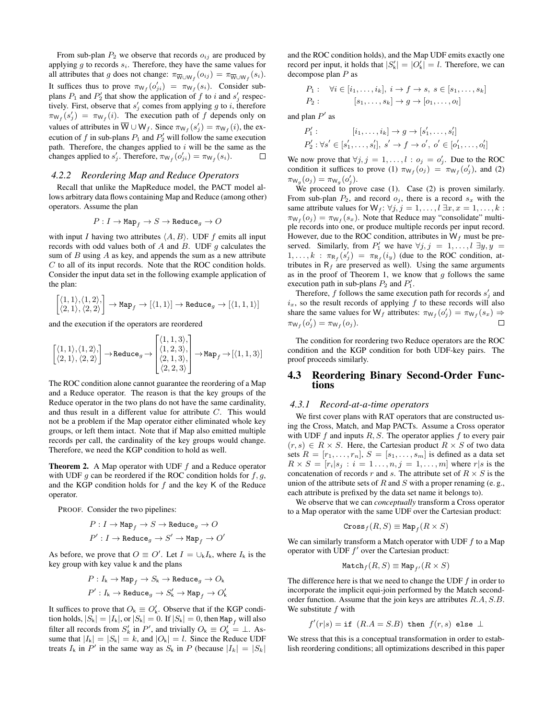From sub-plan  $P_2$  we observe that records  $o_{ij}$  are produced by applying  $g$  to records  $s_i$ . Therefore, they have the same values for all attributes that g does not change:  $\pi_{\overline{W} \cup W_f}(o_{ij}) = \pi_{\overline{W} \cup W_f}(s_i)$ . It suffices thus to prove  $\pi_{W_f}(o'_{ji}) = \pi_{W_f}(s_i)$ . Consider subplans  $P_1$  and  $P'_2$  that show the application of f to i and  $s'_j$  respectively. First, observe that  $s'_j$  comes from applying g to i, therefore  $\pi_{W_f}(s'_j) = \pi_{W_f}(i)$ . The execution path of f depends only on values of attributes in  $\overline{W} \cup W_f$ . Since  $\pi_{W_f}(s'_j) = \pi_{W_f}(i)$ , the execution of f in sub-plans  $P_1$  and  $P'_2$  will follow the same execution path. Therefore, the changes applied to  $i$  will be the same as the changes applied to  $s'_j$ . Therefore,  $\pi_{W_f}(o'_{ji}) = \pi_{W_f}(s_i)$ .  $\Box$ 

#### *4.2.2 Reordering Map and Reduce Operators*

Recall that unlike the MapReduce model, the PACT model allows arbitrary data flows containing Map and Reduce (among other) operators. Assume the plan

$$
P:I\to \mathtt{Map}_f\to S\to \mathtt{Reduce}_g\to O
$$

with input I having two attributes  $\langle A, B \rangle$ . UDF f emits all input records with odd values both of A and B. UDF  $q$  calculates the sum of  $B$  using  $A$  as key, and appends the sum as a new attribute C to all of its input records. Note that the ROC condition holds. Consider the input data set in the following example application of the plan:

$$
\begin{bmatrix} \langle 1,1\rangle,\langle 1,2\rangle, \\ \langle 2,1\rangle,\langle 2,2\rangle \end{bmatrix} \to \mathrm{Map}_f \to \begin{bmatrix} \langle 1,1\rangle \end{bmatrix} \to \mathrm{Reduce}_g \to \begin{bmatrix} \langle 1,1,1\rangle \end{bmatrix}
$$

and the execution if the operators are reordered

$$
\begin{bmatrix} \langle 1,1\rangle,\langle 1,2\rangle, \\ \langle 2,1\rangle,\langle 2,2\rangle \end{bmatrix} \rightarrow \text{Reduce}_g \rightarrow \begin{bmatrix} \langle 1,1,3\rangle, \\ \langle 1,2,3\rangle, \\ \langle 2,1,3\rangle, \\ \langle 2,2,3\rangle \end{bmatrix} \rightarrow \text{Map}_f \rightarrow [\langle 1,1,3\rangle]
$$

The ROC condition alone cannot guarantee the reordering of a Map and a Reduce operator. The reason is that the key groups of the Reduce operator in the two plans do not have the same cardinality, and thus result in a different value for attribute C. This would not be a problem if the Map operator either eliminated whole key groups, or left them intact. Note that if Map also emitted multiple records per call, the cardinality of the key groups would change. Therefore, we need the KGP condition to hold as well.

**Theorem 2.** A Map operator with UDF  $f$  and a Reduce operator with UDF  $q$  can be reordered if the ROC condition holds for  $f, q$ , and the KGP condition holds for  $f$  and the key K of the Reduce operator.

PROOF. Consider the two pipelines:

$$
\begin{aligned} P:I\to\operatorname{Map}_f\to S\to\operatorname{Reduce}_g\to O\\ P':I\to\operatorname{Reduce}_g\to S'\to\operatorname{Map}_f\to O' \end{aligned}
$$

As before, we prove that  $O \equiv O'$ . Let  $I = \bigcup_k I_k$ , where  $I_k$  is the key group with key value k and the plans

$$
\begin{aligned} P: I_{\mathsf{k}} &\to \mathtt{Map}_f \to S_{\mathsf{k}} \to \mathtt{Reduce}_g \to O_{\mathsf{k}} \\ P': I_{\mathsf{k}} &\to \mathtt{Reduce}_g \to S_{\mathsf{k}}' \to \mathtt{Map}_f \to O_{\mathsf{k}}' \end{aligned}
$$

It suffices to prove that  $O_k \equiv O'_k$ . Observe that if the KGP condition holds,  $|S_k| = |I_k|$ , or  $|S_k| = 0$ . If  $|S_k| = 0$ , then Map<sub>f</sub> will also filter all records from  $S'_k$  in P', and trivially  $O_k \equiv O'_k = \perp$ . Assume that  $|I_k| = |S_k| = k$ , and  $|O_k| = l$ . Since the Reduce UDF treats  $I_k$  in  $P'$  in the same way as  $S_k$  in P (because  $|I_k| = |S_k|$ )

and the ROC condition holds), and the Map UDF emits exactly one record per input, it holds that  $|S'_k| = |O'_k| = l$ . Therefore, we can decompose plan P as

$$
P_1: \forall i \in [i_1, ..., i_k], i \to f \to s, s \in [s_1, ..., s_k]
$$
  

$$
P_2: [s_1, ..., s_k] \to g \to [o_1, ..., o_l]
$$

and plan  $P'$  as

P

$$
P'_1: [i_1, ..., i_k] \to g \to [s'_1, ..., s'_l]
$$
  

$$
P'_2: \forall s' \in [s'_1, ..., s'_l], s' \to f \to o', o' \in [o'_1, ..., o'_l]
$$

We now prove that  $\forall j, j = 1, ..., l : o_j = o'_j$ . Due to the ROC condition it suffices to prove (1)  $\pi_{W_f}(o_j) = \pi_{W_f}(o'_j)$ , and (2)  $\pi_{W_g}(o_j) = \pi_{W_g}(o'_j).$ 

We proceed to prove case (1). Case (2) is proven similarly. From sub-plan  $P_2$ , and record  $o_i$ , there is a record  $s_x$  with the same attribute values for  $W_f: \forall j, j = 1, \ldots, l \exists x, x = 1, \ldots, k$ :  $\pi w_f(o_j) = \pi w_f(s_x)$ . Note that Reduce may "consolidate" multiple records into one, or produce multiple records per input record. However, due to the ROC condition, attributes in  $W_f$  must be preserved. Similarly, from  $P'_1$  we have  $\forall j, j = 1, \ldots, l \exists y, y =$  $1, \ldots, k$ :  $\pi_{R_f}(s'_j) = \pi_{R_f}(i_y)$  (due to the ROC condition, attributes in  $R_f$  are preserved as well). Using the same arguments as in the proof of Theorem 1, we know that  $g$  follows the same execution path in sub-plans  $P_2$  and  $P'_1$ .

Therefore,  $f$  follows the same execution path for records  $s'_j$  and  $i_x$ , so the result records of applying  $f$  to these records will also share the same values for W<sub>f</sub> attributes:  $\pi_{W_f}(o'_j) = \pi_{W_f}(s_x) \Rightarrow$  $\pi_{W_f}(o'_j) = \pi_{W_f}(o_j).$  $\Box$ 

The condition for reordering two Reduce operators are the ROC condition and the KGP condition for both UDF-key pairs. The proof proceeds similarly.

#### 4.3 Reordering Binary Second-Order Functions

#### *4.3.1 Record-at-a-time operators*

We first cover plans with RAT operators that are constructed using the Cross, Match, and Map PACTs. Assume a Cross operator with UDF  $f$  and inputs  $R, S$ . The operator applies  $f$  to every pair  $(r, s) \in R \times S$ . Here, the Cartesian product  $R \times S$  of two data sets  $R = [r_1, \ldots, r_n], S = [s_1, \ldots, s_m]$  is defined as a data set  $R \times S = [r_i|s_j : i = 1 \ldots, n, j = 1, \ldots, m]$  where  $r|s$  is the concatenation of records r and s. The attribute set of  $R \times S$  is the union of the attribute sets of  $R$  and  $S$  with a proper renaming (e.g., each attribute is prefixed by the data set name it belongs to).

We observe that we can *conceptually* transform a Cross operator to a Map operator with the same UDF over the Cartesian product:

$$
{\rm Cross}_f(R,S)\equiv \mathrm{Map}_f(R\times S)
$$

We can similarly transform a Match operator with UDF  $f$  to a Map operator with UDF  $f'$  over the Cartesian product:

$$
\texttt{Match}_f(R, S) \equiv \texttt{Map}_{f'}(R \times S)
$$

The difference here is that we need to change the UDF  $f$  in order to incorporate the implicit equi-join performed by the Match secondorder function. Assume that the join keys are attributes R.A, S.B. We substitute  $f$  with

$$
f'(r|s) =
$$
if  $(R.A = S.B)$  then  $f(r, s)$  else  $\perp$ 

We stress that this is a conceptual transformation in order to establish reordering conditions; all optimizations described in this paper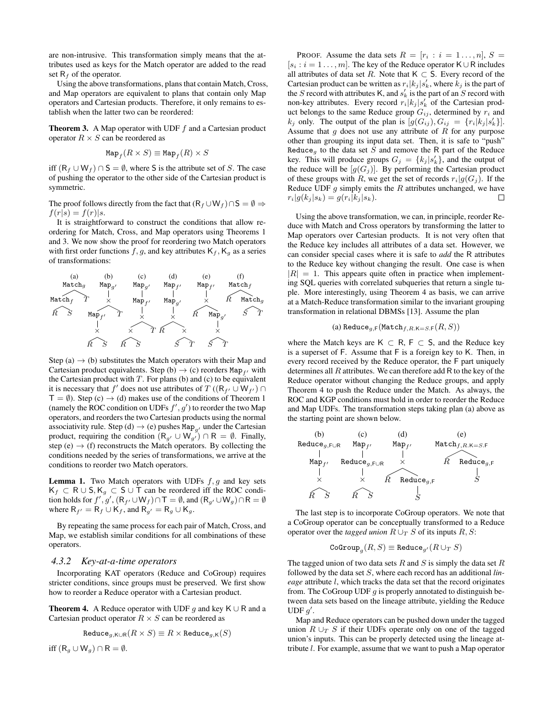are non-intrusive. This transformation simply means that the attributes used as keys for the Match operator are added to the read set  $R_f$  of the operator.

Using the above transformations, plans that contain Match, Cross, and Map operators are equivalent to plans that contain only Map operators and Cartesian products. Therefore, it only remains to establish when the latter two can be reordered:

**Theorem 3.** A Map operator with UDF  $f$  and a Cartesian product operator  $R \times S$  can be reordered as

$$
\mathrm{Map}_f(R\times S)\equiv\mathrm{Map}_f(R)\times S
$$

iff  $(R_f ∪ W_f) ∩ S = ∅$ , where S is the attribute set of S. The case of pushing the operator to the other side of the Cartesian product is symmetric.

The proof follows directly from the fact that  $(R_f \cup W_f) \cap S = \emptyset \Rightarrow$  $f(r|s) = f(r)|s.$ 

It is straightforward to construct the conditions that allow reordering for Match, Cross, and Map operators using Theorems 1 and 3. We now show the proof for reordering two Match operators with first order functions f, g, and key attributes  $K_f$ ,  $K_g$  as a series of transformations:



Step (a)  $\rightarrow$  (b) substitutes the Match operators with their Map and Cartesian product equivalents. Step (b)  $\rightarrow$  (c) reorders Map<sub>fl</sub> with the Cartesian product with  $T$ . For plans (b) and (c) to be equivalent it is necessary that f' does not use attributes of T ( $(R_{f'} \cup W_{f'}) \cap$  $T = \emptyset$ ). Step (c)  $\rightarrow$  (d) makes use of the conditions of Theorem 1 (namely the ROC condition on UDFs  $f', g'$ ) to reorder the two Map operators, and reorders the two Cartesian products using the normal associativity rule. Step (d)  $\rightarrow$  (e) pushes Map<sub>g</sub><sup>1</sup> under the Cartesian product, requiring the condition  $(R_{g'} \cup W_{g'}) \cap R = \emptyset$ . Finally, step (e)  $\rightarrow$  (f) reconstructs the Match operators. By collecting the conditions needed by the series of transformations, we arrive at the conditions to reorder two Match operators.

**Lemma 1.** Two Match operators with UDFs  $f, g$  and key sets  $K_f \subset R \cup S, K_g \subset S \cup T$  can be reordered iff the ROC condition holds for  $f', g', (R_{f'} \cup W_f) \cap T = \emptyset$ , and  $(R_{g'} \cup W_g) \cap R = \emptyset$ where  $R_{f'} = R_f \cup K_f$ , and  $R_{g'} = R_g \cup K_g$ .

By repeating the same process for each pair of Match, Cross, and Map, we establish similar conditions for all combinations of these operators.

### *4.3.2 Key-at-a-time operators*

Incorporating KAT operators (Reduce and CoGroup) requires stricter conditions, since groups must be preserved. We first show how to reorder a Reduce operator with a Cartesian product.

**Theorem 4.** A Reduce operator with UDF g and key K ∪ R and a Cartesian product operator  $R \times S$  can be reordered as

$$
\text{Reduce}_{g, \text{K} \cup \text{R}}(R \times S) \equiv R \times \text{Reduce}_{g, \text{K}}(S)
$$

iff  $(R_g \cup W_g) \cap R = \emptyset$ .

PROOF. Assume the data sets  $R = [r_i : i = 1 \dots, n], S =$  $[s_i : i = 1, \ldots, m]$ . The key of the Reduce operator K ∪ R includes all attributes of data set R. Note that  $K \subset S$ . Every record of the Cartesian product can be written as  $r_i|k_j|s'_k$ , where  $k_j$  is the part of the S record with attributes K, and  $s'_{k}$  is the part of an S record with non-key attributes. Every record  $r_i | k_j | s'_k$  of the Cartesian product belongs to the same Reduce group  $G_{ij}$ , determined by  $r_i$  and  $k_j$  only. The output of the plan is  $[g(G_{ij}), G_{ij}] = \{r_i | k_j | s'_k\}].$ Assume that  $q$  does not use any attribute of  $R$  for any purpose other than grouping its input data set. Then, it is safe to "push" Reduce<sub>g</sub> to the data set S and remove the R part of the Reduce key. This will produce groups  $G_j = \{k_j | s'_k\}$ , and the output of the reduce will be  $[g(G_j)]$ . By performing the Cartesian product of these groups with R, we get the set of records  $r_i|g(G_j)$ . If the Reduce UDF  $q$  simply emits the  $R$  attributes unchanged, we have  $r_i|g(k_j|s_k) = g(r_i|k_j|s_k).$  $\Box$ 

Using the above transformation, we can, in principle, reorder Reduce with Match and Cross operators by transforming the latter to Map operators over Cartesian products. It is not very often that the Reduce key includes all attributes of a data set. However, we can consider special cases where it is safe to *add* the R attributes to the Reduce key without changing the result. One case is when  $|R| = 1$ . This appears quite often in practice when implementing SQL queries with correlated subqueries that return a single tuple. More interestingly, using Theorem 4 as basis, we can arrive at a Match-Reduce transformation similar to the invariant grouping transformation in relational DBMSs [13]. Assume the plan

$$
\qquad \qquad \text{(a) Reduce}_{g,\mathsf{F}}(\texttt{Match}_{f,R.\mathsf{K}=S.\mathsf{F}}(R,S))
$$

where the Match keys are K  $\subset$  R, F  $\subset$  S, and the Reduce key is a superset of F. Assume that F is a foreign key to K. Then, in every record received by the Reduce operator, the F part uniquely determines all  $R$  attributes. We can therefore add  $R$  to the key of the Reduce operator without changing the Reduce groups, and apply Theorem 4 to push the Reduce under the Match. As always, the ROC and KGP conditions must hold in order to reorder the Reduce and Map UDFs. The transformation steps taking plan (a) above as the starting point are shown below.



The last step is to incorporate CoGroup operators. We note that a CoGroup operator can be conceptually transformed to a Reduce operator over the *tagged union*  $R \cup_T S$  of its inputs R, S:

$$
\text{CoGroup}_g(R,S)\equiv\text{Reduce}_{g'}(R\cup_T S)
$$

The tagged union of two data sets  $R$  and  $S$  is simply the data set  $R$ followed by the data set S, where each record has an additional *lineage* attribute l, which tracks the data set that the record originates from. The CoGroup UDF  $q$  is properly annotated to distinguish between data sets based on the lineage attribute, yielding the Reduce UDF  $g'$ .

Map and Reduce operators can be pushed down under the tagged union  $R \cup_T S$  if their UDFs operate only on one of the tagged union's inputs. This can be properly detected using the lineage attribute l. For example, assume that we want to push a Map operator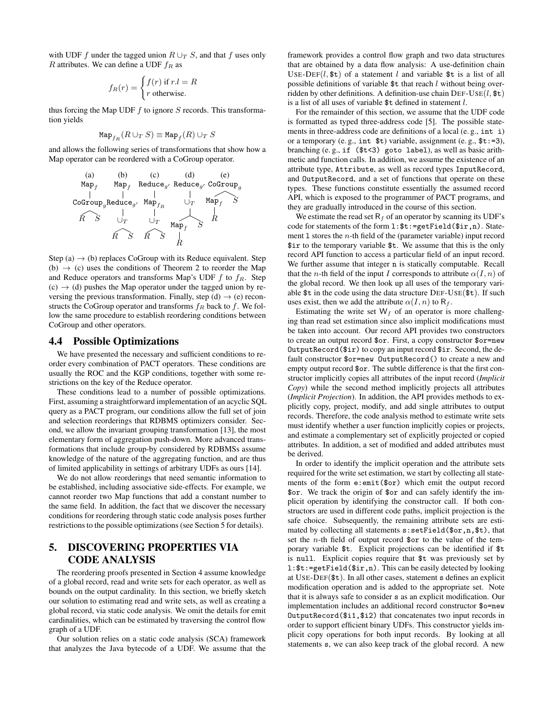with UDF f under the tagged union  $R \cup_T S$ , and that f uses only R attributes. We can define a UDF  $f_R$  as

$$
f_R(r) = \begin{cases} f(r) \text{ if } r.l = R\\ r \text{ otherwise.} \end{cases}
$$

thus forcing the Map UDF  $f$  to ignore  $S$  records. This transformation yields

$$
\operatorname{Map}_{f_R}(R \cup_T S) \equiv \operatorname{Map}_f(R) \cup_T S
$$

and allows the following series of transformations that show how a Map operator can be reordered with a CoGroup operator.



Step (a)  $\rightarrow$  (b) replaces CoGroup with its Reduce equivalent. Step (b)  $\rightarrow$  (c) uses the conditions of Theorem 2 to reorder the Map and Reduce operators and transforms Map's UDF  $f$  to  $f_R$ . Step  $(c) \rightarrow (d)$  pushes the Map operator under the tagged union by reversing the previous transformation. Finally, step (d)  $\rightarrow$  (e) reconstructs the CoGroup operator and transforms  $f_R$  back to f. We follow the same procedure to establish reordering conditions between CoGroup and other operators.

#### 4.4 Possible Optimizations

We have presented the necessary and sufficient conditions to reorder every combination of PACT operators. These conditions are usually the ROC and the KGP conditions, together with some restrictions on the key of the Reduce operator.

These conditions lead to a number of possible optimizations. First, assuming a straightforward implementation of an acyclic SQL query as a PACT program, our conditions allow the full set of join and selection reorderings that RDBMS optimizers consider. Second, we allow the invariant grouping transformation [13], the most elementary form of aggregation push-down. More advanced transformations that include group-by considered by RDBMSs assume knowledge of the nature of the aggregating function, and are thus of limited applicability in settings of arbitrary UDFs as ours [14].

We do not allow reorderings that need semantic information to be established, including associative side-effects. For example, we cannot reorder two Map functions that add a constant number to the same field. In addition, the fact that we discover the necessary conditions for reordering through static code analysis poses further restrictions to the possible optimizations (see Section 5 for details).

# 5. DISCOVERING PROPERTIES VIA CODE ANALYSIS

The reordering proofs presented in Section 4 assume knowledge of a global record, read and write sets for each operator, as well as bounds on the output cardinality. In this section, we briefly sketch our solution to estimating read and write sets, as well as creating a global record, via static code analysis. We omit the details for emit cardinalities, which can be estimated by traversing the control flow graph of a UDF.

Our solution relies on a static code analysis (SCA) framework that analyzes the Java bytecode of a UDF. We assume that the

framework provides a control flow graph and two data structures that are obtained by a data flow analysis: A use-definition chain USE-DEF(l, t) of a statement l and variable t is a list of all possible definitions of variable \$t that reach l without being overridden by other definitions. A definition-use chain  $DEF-USE(l, \text{ft})$ is a list of all uses of variable \$t defined in statement l.

For the remainder of this section, we assume that the UDF code is formatted as typed three-address code [5]. The possible statements in three-address code are definitions of a local (e. g., int i) or a temporary (e.g., int  $t$ ) variable, assignment (e.g.,  $t$ :=3), branching (e. g., if (\$t<3) goto label), as well as basic arithmetic and function calls. In addition, we assume the existence of an attribute type, Attribute, as well as record types InputRecord, and OutputRecord, and a set of functions that operate on these types. These functions constitute essentially the assumed record API, which is exposed to the programmer of PACT programs, and they are gradually introduced in the course of this section.

We estimate the read set  $R_f$  of an operator by scanning its UDF's code for statements of the form l:\$t:=getField(\$ir,n). Statement  $1$  stores the *n*-th field of the (parameter variable) input record \$ir to the temporary variable \$t. We assume that this is the only record API function to access a particular field of an input record. We further assume that integer n is statically computable. Recall that the *n*-th field of the input I corresponds to attribute  $\alpha(I, n)$  of the global record. We then look up all uses of the temporary variable \$t in the code using the data structure DEF-USE(\$t). If such uses exist, then we add the attribute  $\alpha(I, n)$  to R<sub>f</sub>.

Estimating the write set  $W_f$  of an operator is more challenging than read set estimation since also implicit modifications must be taken into account. Our record API provides two constructors to create an output record \$or. First, a copy constructor \$or=new OutputRecord(\$ir) to copy an input record \$ir. Second, the default constructor \$or=new OutputRecord() to create a new and empty output record \$or. The subtle difference is that the first constructor implicitly copies all attributes of the input record (*Implicit Copy*) while the second method implicitly projects all attributes (*Implicit Projection*). In addition, the API provides methods to explicitly copy, project, modify, and add single attributes to output records. Therefore, the code analysis method to estimate write sets must identify whether a user function implicitly copies or projects, and estimate a complementary set of explicitly projected or copied attributes. In addition, a set of modified and added attributes must be derived.

In order to identify the implicit operation and the attribute sets required for the write set estimation, we start by collecting all statements of the form e:emit(\$or) which emit the output record \$or. We track the origin of \$or and can safely identify the implicit operation by identifying the constructor call. If both constructors are used in different code paths, implicit projection is the safe choice. Subsequently, the remaining attribute sets are estimated by collecting all statements s:setField(\$or,n,\$t), that set the *n*-th field of output record  $\text{for}$  to the value of the temporary variable \$t. Explicit projections can be identified if \$t is null. Explicit copies require that \$t was previously set by l:\$t:=getField(\$ir,n). This can be easily detected by looking at USE-DEF(\$t). In all other cases, statement s defines an explicit modification operation and is added to the appropriate set. Note that it is always safe to consider s as an explicit modification. Our implementation includes an additional record constructor \$o=new OutputRecord(\$i1,\$i2) that concatenates two input records in order to support efficient binary UDFs. This constructor yields implicit copy operations for both input records. By looking at all statements s, we can also keep track of the global record. A new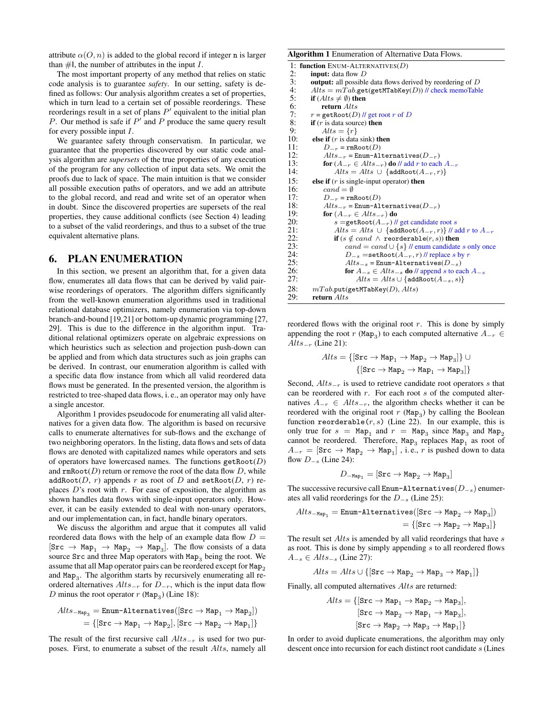attribute  $\alpha(O, n)$  is added to the global record if integer n is larger than  $\#I$ , the number of attributes in the input I.

The most important property of any method that relies on static code analysis is to guarantee *safety*. In our setting, safety is defined as follows: Our analysis algorithm creates a set of properties, which in turn lead to a certain set of possible reorderings. These reorderings result in a set of plans  $P'$  equivalent to the initial plan P. Our method is safe if  $P'$  and P produce the same query result for every possible input  $I$ .

We guarantee safety through conservatism. In particular, we guarantee that the properties discovered by our static code analysis algorithm are *supersets* of the true properties of any execution of the program for any collection of input data sets. We omit the proofs due to lack of space. The main intuition is that we consider all possible execution paths of operators, and we add an attribute to the global record, and read and write set of an operator when in doubt. Since the discovered properties are supersets of the real properties, they cause additional conflicts (see Section 4) leading to a subset of the valid reorderings, and thus to a subset of the true equivalent alternative plans.

#### 6. PLAN ENUMERATION

In this section, we present an algorithm that, for a given data flow, enumerates all data flows that can be derived by valid pairwise reorderings of operators. The algorithm differs significantly from the well-known enumeration algorithms used in traditional relational database optimizers, namely enumeration via top-down branch-and-bound [19,21] or bottom-up dynamic programming [27, 29]. This is due to the difference in the algorithm input. Traditional relational optimizers operate on algebraic expressions on which heuristics such as selection and projection push-down can be applied and from which data structures such as join graphs can be derived. In contrast, our enumeration algorithm is called with a specific data flow instance from which all valid reordered data flows must be generated. In the presented version, the algorithm is restricted to tree-shaped data flows, i. e., an operator may only have a single ancestor.

Algorithm 1 provides pseudocode for enumerating all valid alternatives for a given data flow. The algorithm is based on recursive calls to enumerate alternatives for sub-flows and the exchange of two neighboring operators. In the listing, data flows and sets of data flows are denoted with capitalized names while operators and sets of operators have lowercased names. The functions  $\text{getRoot}(D)$ and  $\texttt{rmRoot}(D)$  return or remove the root of the data flow D, while addRoot(D, r) appends r as root of D and setRoot(D, r) replaces  $D$ 's root with  $r$ . For ease of exposition, the algorithm as shown handles data flows with single-input operators only. However, it can be easily extended to deal with non-unary operators, and our implementation can, in fact, handle binary operators.

We discuss the algorithm and argue that it computes all valid reordered data flows with the help of an example data flow  $D =$  $[\text{Src} \rightarrow \text{Map}_1 \rightarrow \text{Map}_2 \rightarrow \text{Map}_3]$ . The flow consists of a data source  $Src$  and three Map operators with  $Map_3$  being the root. We assume that all Map operator pairs can be reordered except for Map<sub>2</sub> and Map<sub>3</sub>. The algorithm starts by recursively enumerating all reordered alternatives  $Alts_{-r}$  for  $D_{-r}$ , which is the input data flow D minus the root operator  $r$  (Map<sub>3</sub>) (Line 18):

$$
\begin{aligned} Alts_{-\texttt{Map}_3} & = \texttt{Enum-Alternatives}([\texttt{Src} \rightarrow \texttt{Map}_1 \rightarrow \texttt{Map}_2]) \\ & = \{ [\texttt{Src} \rightarrow \texttt{Map}_1 \rightarrow \texttt{Map}_2], [\texttt{Src} \rightarrow \texttt{Map}_2 \rightarrow \texttt{Map}_1] \} \end{aligned}
$$

The result of the first recursive call  $Alts_{-r}$  is used for two purposes. First, to enumerate a subset of the result Alts, namely all

#### Algorithm 1 Enumeration of Alternative Data Flows.

|      | 1: function ENUM-ALTERNATIVES( $D$ )                                |
|------|---------------------------------------------------------------------|
| 2:   | <b>input:</b> data flow D                                           |
| 3:   | <b>output:</b> all possible data flows derived by reordering of $D$ |
| 4:   | $Alts = mTab.get(\text{getMTabKey}(D))$ // check memoTable          |
| 5:   | if $(Alts \neq \emptyset)$ then                                     |
| 6:   | return Alts                                                         |
| 7:   | $r = getRoot(D)$ // get root r of D                                 |
| 8:   | <b>if</b> $(r$ is data source) <b>then</b>                          |
| 9:   | $Alts = \{r\}$                                                      |
| 10:  | else if $(r$ is data sink) then                                     |
| 11:  | $D_{-r}$ = rmRoot $(D)$                                             |
| 12:  | $Alts_{-r}$ = Enum-Alternatives( $D_{-r}$ )                         |
| 13:  | for $(A_{-r} \in Alts_{-r})$ do // add r to each $A_{-r}$           |
| 14:  | $Alts = Alts \cup \{addRoot(A_{-r}, r)\}\$                          |
| 1.5: | else if $(r$ is single-input operator) then                         |
| 16:  | $cand = \emptyset$                                                  |
| 17:  | $D_{-r}$ = rmRoot(D)                                                |
| 18:  | $Alts_{-r}$ = Enum-Alternatives( $D_{-r}$ )                         |
| 19:  | for $(A_{-r} \in Alts_{-r})$ do                                     |
| 20:  | s = getRoot $(A_{-r})$ // get candidate root s                      |
| 21:  | $Alts = Alts \cup \{addRoot(A_{-r}, r)\}$ // add r to $A_{-r}$      |
| 22:  | if $(s \notin cand \land \text{reorderable}(r, s))$ then            |
| 23:  | $cand = cand \cup \{s\}$ // enum candidate s only once              |
| 24:  | $D_{-s}$ =setRoot $(A_{-r}, r)$ // replace s by r                   |
| 25:  | $Alts_{-s}$ = Enum-Alternatives( $D_{-s}$ )                         |
| 26:  | for $A_{-s} \in Alts_{-s}$ do // append s to each $A_{-s}$          |
| 27:  | $Alts = Alts \cup \{addRoot(A_{-s}, s)\}$                           |
| 28:  | $mTab$ .put(getMTabKey(D), $Alts$ )                                 |
| 29:  | return Alts                                                         |

reordered flows with the original root  $r$ . This is done by simply appending the root r (Map<sub>3</sub>) to each computed alternative  $A_{-r} \in$ Alts<sub> $-r$ </sub> (Line 21):

$$
\begin{aligned} Alts = \{[\texttt{Src} \rightarrow \texttt{Map}_1 \rightarrow \texttt{Map}_2 \rightarrow \texttt{Map}_3]\} \,\cup \\ \{[\texttt{Src} \rightarrow \texttt{Map}_2 \rightarrow \texttt{Map}_1 \rightarrow \texttt{Map}_3]\} \end{aligned}
$$

Second,  $Alts_{-r}$  is used to retrieve candidate root operators s that can be reordered with  $r$ . For each root  $s$  of the computed alternatives  $A_{-r}$  ∈  $Alts_{-r}$ , the algorithm checks whether it can be reordered with the original root  $r$  (Map<sub>3</sub>) by calling the Boolean function reorderable( $r, s$ ) (Line 22). In our example, this is only true for  $s = Map_1$  and  $r = Map_3$  since  $Map_3$  and  $Map_2$ cannot be reordered. Therefore,  $\text{Map}_3$  replaces  $\text{Map}_1$  as root of  $A_{-r} = [\texttt{Src} \rightarrow \texttt{Map}_2 \rightarrow \texttt{Map}_1]$  , i.e., r is pushed down to data flow  $D_{-s}$  (Line 24):

$$
D_{\rm -Map_1} = [{\rm Src} \rightarrow {\rm Map}_2 \rightarrow {\rm Map}_3]
$$

The successive recursive call Enum-Alternatives $(D_{-s})$  enumerates all valid reorderings for the  $D_{-s}$  (Line 25):

$$
Alts_{-{\tt Map}_1} = {\tt Enum-Alternatives([\texttt{Src} \rightarrow {\tt Map}_2 \rightarrow {\tt Map}_3])} \\ = \{ [{\tt src} \rightarrow {\tt Map}_2 \rightarrow {\tt Map}_3]\}
$$

The result set  $Alts$  is amended by all valid reorderings that have  $s$ as root. This is done by simply appending s to all reordered flows  $A_{-s} \in Alts_{-s}$  (Line 27):

$$
Alts = Alts \cup \{ [\texttt{Src} \rightarrow \texttt{Map}_{2} \rightarrow \texttt{Map}_{3} \rightarrow \texttt{Map}_{1}]\}
$$

Finally, all computed alternatives *Alts* are returned:

$$
\begin{aligned} Alts = \{[\texttt{Src} \rightarrow \texttt{Map}_1 \rightarrow \texttt{Map}_2 \rightarrow \texttt{Map}_3], \\ [\texttt{Src} \rightarrow \texttt{Map}_2 \rightarrow \texttt{Map}_1 \rightarrow \texttt{Map}_3], \\ [\texttt{Src} \rightarrow \texttt{Map}_2 \rightarrow \texttt{Map}_3 \rightarrow \texttt{Map}_1]\} \end{aligned}
$$

In order to avoid duplicate enumerations, the algorithm may only descent once into recursion for each distinct root candidate s (Lines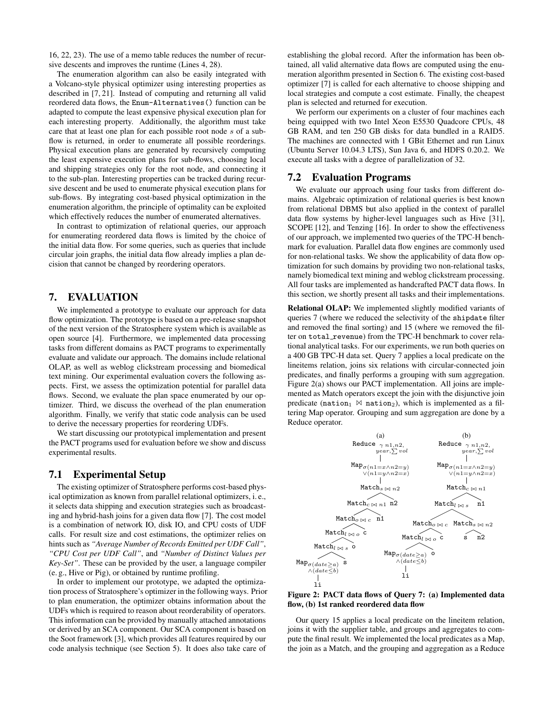16, 22, 23). The use of a memo table reduces the number of recursive descents and improves the runtime (Lines 4, 28).

The enumeration algorithm can also be easily integrated with a Volcano-style physical optimizer using interesting properties as described in [7, 21]. Instead of computing and returning all valid reordered data flows, the Enum-Alternatives() function can be adapted to compute the least expensive physical execution plan for each interesting property. Additionally, the algorithm must take care that at least one plan for each possible root node s of a subflow is returned, in order to enumerate all possible reorderings. Physical execution plans are generated by recursively computing the least expensive execution plans for sub-flows, choosing local and shipping strategies only for the root node, and connecting it to the sub-plan. Interesting properties can be tracked during recursive descent and be used to enumerate physical execution plans for sub-flows. By integrating cost-based physical optimization in the enumeration algorithm, the principle of optimality can be exploited which effectively reduces the number of enumerated alternatives.

In contrast to optimization of relational queries, our approach for enumerating reordered data flows is limited by the choice of the initial data flow. For some queries, such as queries that include circular join graphs, the initial data flow already implies a plan decision that cannot be changed by reordering operators.

### 7. EVALUATION

We implemented a prototype to evaluate our approach for data flow optimization. The prototype is based on a pre-release snapshot of the next version of the Stratosphere system which is available as open source [4]. Furthermore, we implemented data processing tasks from different domains as PACT programs to experimentally evaluate and validate our approach. The domains include relational OLAP, as well as weblog clickstream processing and biomedical text mining. Our experimental evaluation covers the following aspects. First, we assess the optimization potential for parallel data flows. Second, we evaluate the plan space enumerated by our optimizer. Third, we discuss the overhead of the plan enumeration algorithm. Finally, we verify that static code analysis can be used to derive the necessary properties for reordering UDFs.

We start discussing our prototypical implementation and present the PACT programs used for evaluation before we show and discuss experimental results.

# 7.1 Experimental Setup

The existing optimizer of Stratosphere performs cost-based physical optimization as known from parallel relational optimizers, i. e., it selects data shipping and execution strategies such as broadcasting and hybrid-hash joins for a given data flow [7]. The cost model is a combination of network IO, disk IO, and CPU costs of UDF calls. For result size and cost estimations, the optimizer relies on hints such as *"Average Number of Records Emitted per UDF Call"*, *"CPU Cost per UDF Call"*, and *"Number of Distinct Values per Key-Set"*. These can be provided by the user, a language compiler (e. g., Hive or Pig), or obtained by runtime profiling.

In order to implement our prototype, we adapted the optimization process of Stratosphere's optimizer in the following ways. Prior to plan enumeration, the optimizer obtains information about the UDFs which is required to reason about reorderability of operators. This information can be provided by manually attached annotations or derived by an SCA component. Our SCA component is based on the Soot framework [3], which provides all features required by our code analysis technique (see Section 5). It does also take care of establishing the global record. After the information has been obtained, all valid alternative data flows are computed using the enumeration algorithm presented in Section 6. The existing cost-based optimizer [7] is called for each alternative to choose shipping and local strategies and compute a cost estimate. Finally, the cheapest plan is selected and returned for execution.

We perform our experiments on a cluster of four machines each being equipped with two Intel Xeon E5530 Quadcore CPUs, 48 GB RAM, and ten 250 GB disks for data bundled in a RAID5. The machines are connected with 1 GBit Ethernet and run Linux (Ubuntu Server 10.04.3 LTS), Sun Java 6, and HDFS 0.20.2. We execute all tasks with a degree of parallelization of 32.

#### 7.2 Evaluation Programs

We evaluate our approach using four tasks from different domains. Algebraic optimization of relational queries is best known from relational DBMS but also applied in the context of parallel data flow systems by higher-level languages such as Hive [31], SCOPE [12], and Tenzing [16]. In order to show the effectiveness of our approach, we implemented two queries of the TPC-H benchmark for evaluation. Parallel data flow engines are commonly used for non-relational tasks. We show the applicability of data flow optimization for such domains by providing two non-relational tasks, namely biomedical text mining and weblog clickstream processing. All four tasks are implemented as handcrafted PACT data flows. In this section, we shortly present all tasks and their implementations.

Relational OLAP: We implemented slightly modified variants of queries 7 (where we reduced the selectivity of the shipdate filter and removed the final sorting) and 15 (where we removed the filter on total\_revenue) from the TPC-H benchmark to cover relational analytical tasks. For our experiments, we run both queries on a 400 GB TPC-H data set. Query 7 applies a local predicate on the lineitems relation, joins six relations with circular-connected join predicates, and finally performs a grouping with sum aggregation. Figure 2(a) shows our PACT implementation. All joins are implemented as Match operators except the join with the disjunctive join predicate (nation<sub>1</sub>  $\bowtie$  nation<sub>2</sub>), which is implemented as a filtering Map operator. Grouping and sum aggregation are done by a Reduce operator.



Figure 2: PACT data flows of Query 7: (a) Implemented data flow, (b) 1st ranked reordered data flow

Our query 15 applies a local predicate on the lineitem relation, joins it with the supplier table, and groups and aggregates to compute the final result. We implemented the local predicates as a Map, the join as a Match, and the grouping and aggregation as a Reduce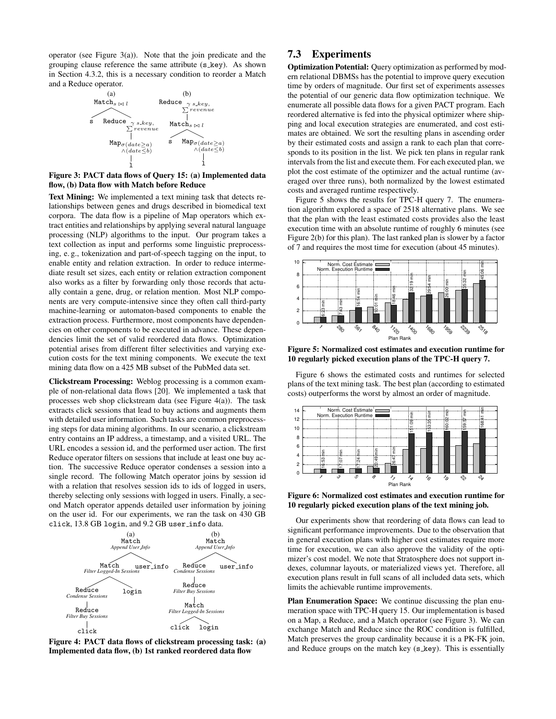operator (see Figure  $3(a)$ ). Note that the join predicate and the grouping clause reference the same attribute (s\_key). As shown in Section 4.3.2, this is a necessary condition to reorder a Match and a Reduce operator.



#### Figure 3: PACT data flows of Query 15: (a) Implemented data flow, (b) Data flow with Match before Reduce

Text Mining: We implemented a text mining task that detects relationships between genes and drugs described in biomedical text corpora. The data flow is a pipeline of Map operators which extract entities and relationships by applying several natural language processing (NLP) algorithms to the input. Our program takes a text collection as input and performs some linguistic preprocessing, e. g., tokenization and part-of-speech tagging on the input, to enable entity and relation extraction. In order to reduce intermediate result set sizes, each entity or relation extraction component also works as a filter by forwarding only those records that actually contain a gene, drug, or relation mention. Most NLP components are very compute-intensive since they often call third-party machine-learning or automaton-based components to enable the extraction process. Furthermore, most components have dependencies on other components to be executed in advance. These dependencies limit the set of valid reordered data flows. Optimization potential arises from different filter selectivities and varying execution costs for the text mining components. We execute the text mining data flow on a 425 MB subset of the PubMed data set.

Clickstream Processing: Weblog processing is a common example of non-relational data flows [20]. We implemented a task that processes web shop clickstream data (see Figure 4(a)). The task extracts click sessions that lead to buy actions and augments them with detailed user information. Such tasks are common preprocessing steps for data mining algorithms. In our scenario, a clickstream entry contains an IP address, a timestamp, and a visited URL. The URL encodes a session id, and the performed user action. The first Reduce operator filters on sessions that include at least one buy action. The successive Reduce operator condenses a session into a single record. The following Match operator joins by session id with a relation that resolves session ids to ids of logged in users, thereby selecting only sessions with logged in users. Finally, a second Match operator appends detailed user information by joining on the user id. For our experiments, we ran the task on 430 GB click, 13.8 GB login, and 9.2 GB user info data.



Figure 4: PACT data flows of clickstream processing task: (a) Implemented data flow, (b) 1st ranked reordered data flow

# 7.3 Experiments

Optimization Potential: Query optimization as performed by modern relational DBMSs has the potential to improve query execution time by orders of magnitude. Our first set of experiments assesses the potential of our generic data flow optimization technique. We enumerate all possible data flows for a given PACT program. Each reordered alternative is fed into the physical optimizer where shipping and local execution strategies are enumerated, and cost estimates are obtained. We sort the resulting plans in ascending order by their estimated costs and assign a rank to each plan that corresponds to its position in the list. We pick ten plans in regular rank intervals from the list and execute them. For each executed plan, we plot the cost estimate of the optimizer and the actual runtime (averaged over three runs), both normalized by the lowest estimated costs and averaged runtime respectively.

Figure 5 shows the results for TPC-H query 7. The enumeration algorithm explored a space of 2518 alternative plans. We see that the plan with the least estimated costs provides also the least execution time with an absolute runtime of roughly 6 minutes (see Figure 2(b) for this plan). The last ranked plan is slower by a factor of 7 and requires the most time for execution (about 45 minutes).



Figure 5: Normalized cost estimates and execution runtime for 10 regularly picked execution plans of the TPC-H query 7.

Figure 6 shows the estimated costs and runtimes for selected plans of the text mining task. The best plan (according to estimated costs) outperforms the worst by almost an order of magnitude.



Figure 6: Normalized cost estimates and execution runtime for 10 regularly picked execution plans of the text mining job.

Our experiments show that reordering of data flows can lead to significant performance improvements. Due to the observation that in general execution plans with higher cost estimates require more time for execution, we can also approve the validity of the optimizer's cost model. We note that Stratosphere does not support indexes, columnar layouts, or materialized views yet. Therefore, all execution plans result in full scans of all included data sets, which limits the achievable runtime improvements.

Plan Enumeration Space: We continue discussing the plan enumeration space with TPC-H query 15. Our implementation is based on a Map, a Reduce, and a Match operator (see Figure 3). We can exchange Match and Reduce since the ROC condition is fulfilled, Match preserves the group cardinality because it is a PK-FK join, and Reduce groups on the match key  $(s_{\text{key}})$ . This is essentially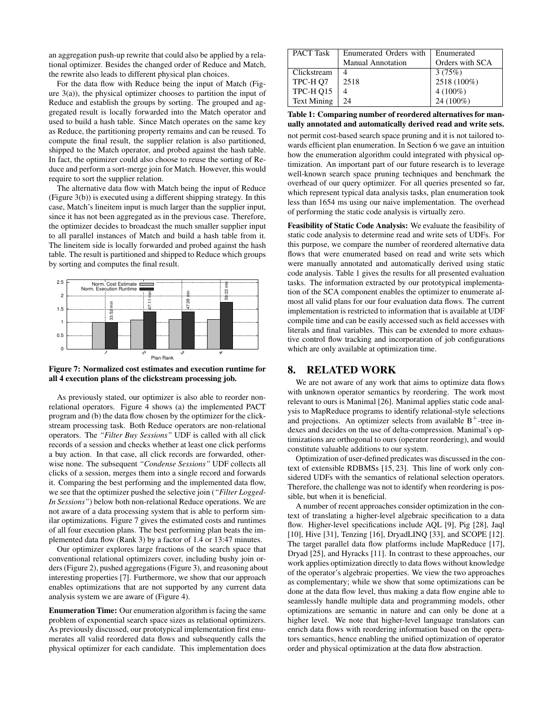an aggregation push-up rewrite that could also be applied by a relational optimizer. Besides the changed order of Reduce and Match, the rewrite also leads to different physical plan choices.

For the data flow with Reduce being the input of Match (Figure  $3(a)$ ), the physical optimizer chooses to partition the input of Reduce and establish the groups by sorting. The grouped and aggregated result is locally forwarded into the Match operator and used to build a hash table. Since Match operates on the same key as Reduce, the partitioning property remains and can be reused. To compute the final result, the supplier relation is also partitioned, shipped to the Match operator, and probed against the hash table. In fact, the optimizer could also choose to reuse the sorting of Reduce and perform a sort-merge join for Match. However, this would require to sort the supplier relation.

The alternative data flow with Match being the input of Reduce (Figure 3(b)) is executed using a different shipping strategy. In this case, Match's lineitem input is much larger than the supplier input, since it has not been aggregated as in the previous case. Therefore, the optimizer decides to broadcast the much smaller supplier input to all parallel instances of Match and build a hash table from it. The lineitem side is locally forwarded and probed against the hash table. The result is partitioned and shipped to Reduce which groups by sorting and computes the final result.





As previously stated, our optimizer is also able to reorder nonrelational operators. Figure 4 shows (a) the implemented PACT program and (b) the data flow chosen by the optimizer for the clickstream processing task. Both Reduce operators are non-relational operators. The *"Filter Buy Sessions"* UDF is called with all click records of a session and checks whether at least one click performs a buy action. In that case, all click records are forwarded, otherwise none. The subsequent *"Condense Sessions"* UDF collects all clicks of a session, merges them into a single record and forwards it. Comparing the best performing and the implemented data flow, we see that the optimizer pushed the selective join (*"Filter Logged-In Sessions"*) below both non-relational Reduce operations. We are not aware of a data processing system that is able to perform similar optimizations. Figure 7 gives the estimated costs and runtimes of all four execution plans. The best performing plan beats the implemented data flow (Rank 3) by a factor of 1.4 or 13:47 minutes.

Our optimizer explores large fractions of the search space that conventional relational optimizers cover, including bushy join orders (Figure 2), pushed aggregations (Figure 3), and reasoning about interesting properties [7]. Furthermore, we show that our approach enables optimizations that are not supported by any current data analysis system we are aware of (Figure 4).

Enumeration Time: Our enumeration algorithm is facing the same problem of exponential search space sizes as relational optimizers. As previously discussed, our prototypical implementation first enumerates all valid reordered data flows and subsequently calls the physical optimizer for each candidate. This implementation does

| <b>PACT</b> Task   | Enumerated Orders with   | Enumerated      |
|--------------------|--------------------------|-----------------|
|                    | <b>Manual Annotation</b> | Orders with SCA |
| Clickstream        |                          | 3(75%)          |
| TPC-H O7           | 2518                     | 2518 (100%)     |
| TPC-H O15          |                          | $4(100\%)$      |
| <b>Text Mining</b> | 24                       | 24 (100%)       |

#### Table 1: Comparing number of reordered alternatives for manually annotated and automatically derived read and write sets.

not permit cost-based search space pruning and it is not tailored towards efficient plan enumeration. In Section 6 we gave an intuition how the enumeration algorithm could integrated with physical optimization. An important part of our future research is to leverage well-known search space pruning techniques and benchmark the overhead of our query optimizer. For all queries presented so far, which represent typical data analysis tasks, plan enumeration took less than 1654 ms using our naive implementation. The overhead of performing the static code analysis is virtually zero.

Feasibility of Static Code Analysis: We evaluate the feasibility of static code analysis to determine read and write sets of UDFs. For this purpose, we compare the number of reordered alternative data flows that were enumerated based on read and write sets which were manually annotated and automatically derived using static code analysis. Table 1 gives the results for all presented evaluation tasks. The information extracted by our prototypical implementation of the SCA component enables the optimizer to enumerate almost all valid plans for our four evaluation data flows. The current implementation is restricted to information that is available at UDF compile time and can be easily accessed such as field accesses with literals and final variables. This can be extended to more exhaustive control flow tracking and incorporation of job configurations which are only available at optimization time.

# 8. RELATED WORK

We are not aware of any work that aims to optimize data flows with unknown operator semantics by reordering. The work most relevant to ours is Manimal [26]. Manimal applies static code analysis to MapReduce programs to identify relational-style selections and projections. An optimizer selects from available  $B^+$ -tree indexes and decides on the use of delta-compression. Manimal's optimizations are orthogonal to ours (operator reordering), and would constitute valuable additions to our system.

Optimization of user-defined predicates was discussed in the context of extensible RDBMSs [15, 23]. This line of work only considered UDFs with the semantics of relational selection operators. Therefore, the challenge was not to identify when reordering is possible, but when it is beneficial.

A number of recent approaches consider optimization in the context of translating a higher-level algebraic specification to a data flow. Higher-level specifications include AQL [9], Pig [28], Jaql [10], Hive [31], Tenzing [16], DryadLINQ [33], and SCOPE [12]. The target parallel data flow platforms include MapReduce [17], Dryad [25], and Hyracks [11]. In contrast to these approaches, our work applies optimization directly to data flows without knowledge of the operator's algebraic properties. We view the two approaches as complementary; while we show that some optimizations can be done at the data flow level, thus making a data flow engine able to seamlessly handle multiple data and programming models, other optimizations are semantic in nature and can only be done at a higher level. We note that higher-level language translators can enrich data flows with reordering information based on the operators semantics, hence enabling the unified optimization of operator order and physical optimization at the data flow abstraction.